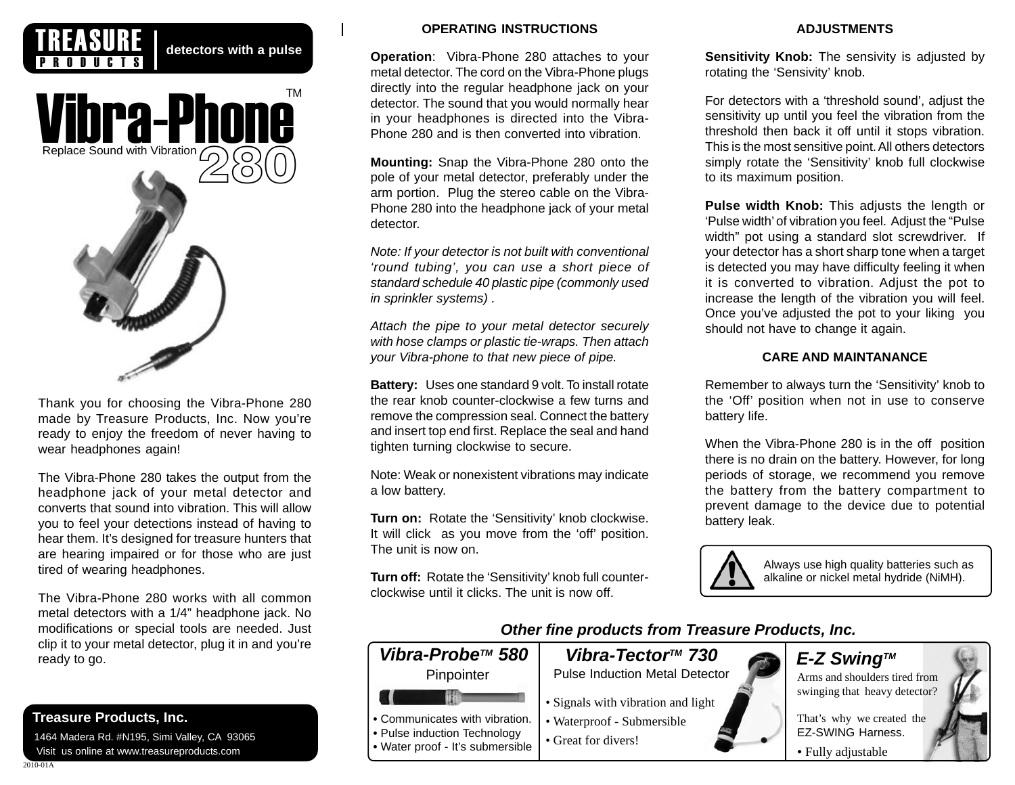

detectors with a pulse



Thank you for choosing the Vibra-Phone 280 made by Treasure Products, Inc. Now you're ready to enjoy the freedom of never having to wear headphones again!

The Vibra-Phone 280 takes the output from the headphone jack of your metal detector and converts that sound into vibration. This will allow you to feel your detections instead of having to hear them. It's designed for treasure hunters that are hearing impaired or for those who are just tired of wearing headphones.

The Vibra-Phone 280 works with all common metal detectors with a 1/4" headphone jack. No modifications or special tools are needed. Just clip it to your metal detector, plug it in and you're ready to go.

# **Treasure Products, Inc.**

 1464 Madera Rd. #N195, Simi Valley, CA 93065 Visit us online at www.treasureproducts.com

## **OPERATING INSTRUCTIONS**

**Operation**: Vibra-Phone 280 attaches to your metal detector. The cord on the Vibra-Phone plugs directly into the regular headphone jack on your detector. The sound that you would normally hear in your headphones is directed into the Vibra-Phone 280 and is then converted into vibration.

**Mounting:** Snap the Vibra-Phone 280 onto the pole of your metal detector, preferably under the arm portion. Plug the stereo cable on the Vibra-Phone 280 into the headphone jack of your metal detector.

*Note: If your detector is not built with conventional 'round tubing', you can use a short piece of standard schedule 40 plastic pipe (commonly used in sprinkler systems) .*

*Attach the pipe to your metal detector securely with hose clamps or plastic tie-wraps. Then attach your Vibra-phone to that new piece of pipe.*

**Battery:** Uses one standard 9 volt. To install rotate the rear knob counter-clockwise a few turns and remove the compression seal. Connect the battery and insert top end first. Replace the seal and hand tighten turning clockwise to secure.

Note: Weak or nonexistent vibrations may indicate a low battery.

**Turn on:** Rotate the 'Sensitivity' knob clockwise. It will click as you move from the 'off' position. The unit is now on.

**Turn off:** Rotate the 'Sensitivity' knob full counterclockwise until it clicks. The unit is now off.

### **ADJUSTMENTS**

**Sensitivity Knob:** The sensivity is adjusted by rotating the 'Sensivity' knob.

For detectors with a 'threshold sound', adjust the sensitivity up until you feel the vibration from the threshold then back it off until it stops vibration. This is the most sensitive point. All others detectors simply rotate the 'Sensitivity' knob full clockwise to its maximum position.

**Pulse width Knob:** This adjusts the length or 'Pulse width' of vibration you feel. Adjust the "Pulse width" pot using a standard slot screwdriver. If your detector has a short sharp tone when a target is detected you may have difficulty feeling it when it is converted to vibration. Adjust the pot to increase the length of the vibration you will feel. Once you've adjusted the pot to your liking you should not have to change it again.

## **CARE AND MAINTANANCE**

Remember to always turn the 'Sensitivity' knob to the 'Off' position when not in use to conserve battery life.

When the Vibra-Phone 280 is in the off position there is no drain on the battery. However, for long periods of storage, we recommend you remove the battery from the battery compartment to prevent damage to the device due to potential battery leak.



Always use high quality batteries such as alkaline or nickel metal hydride (NiMH).

# *Other fine products from Treasure Products, Inc.*